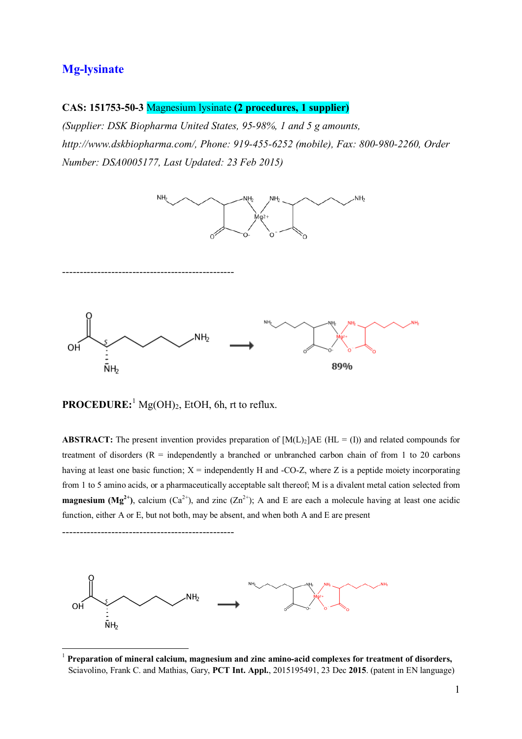## **Mg-lysinate**

### **CAS: 151753-50-3** Magnesium lysinate **(2 procedures, 1 supplier)**

*(Supplier: DSK Biopharma United States, 95-98%, 1 and 5 g amounts, http://www.dskbiopharma.com/, Phone: 919-455-6252 (mobile), Fax: 800-980-2260, Order Number: DSA0005177, Last Updated: 23 Feb 2015)*



**PROCEDURE:** <sup>1</sup> Mg(OH)2, EtOH, 6h, rt to reflux.

-------------------------------------------------

 $\overline{a}$ 

**ABSTRACT:** The present invention provides preparation of  $[M(L)_2]AE$  (HL = (I)) and related compounds for treatment of disorders  $(R =$  independently a branched or unbranched carbon chain of from 1 to 20 carbons having at least one basic function;  $X =$  independently H and -CO-Z, where Z is a peptide moiety incorporating from 1 to 5 amino acids, or a pharmaceutically acceptable salt thereof; M is a divalent metal cation selected from **magnesium (Mg<sup>2+</sup>)**, calcium (Ca<sup>2+</sup>), and zinc (Zn<sup>2+</sup>); A and E are each a molecule having at least one acidic function, either A or E, but not both, may be absent, and when both A and E are present



<sup>1</sup> **Preparation of mineral calcium, magnesium and zinc amino-acid complexes for treatment of disorders,** Sciavolino, Frank C. and Mathias, Gary, **PCT Int. Appl.**, 2015195491, 23 Dec **2015**. (patent in EN language)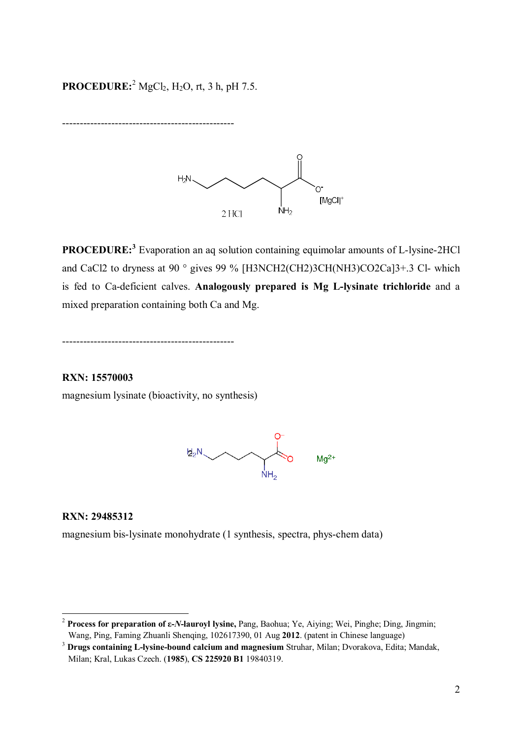# **PROCEDURE:**<sup>2</sup> MgCl<sub>2</sub>, H<sub>2</sub>O, rt, 3 h, pH 7.5.

-------------------------------------------------



**PROCEDURE: 3** Evaporation an aq solution containing equimolar amounts of L-lysine-2HCl and CaCl2 to dryness at 90 ° gives 99 % [H3NCH2(CH2)3CH(NH3)CO2Ca]3+.3 Cl- which is fed to Ca-deficient calves. **Analogously prepared is Mg L-lysinate trichloride** and a mixed preparation containing both Ca and Mg.

-------------------------------------------------

**RXN: 15570003** magnesium lysinate (bioactivity, no synthesis)



**RXN: 29485312**

 $\overline{a}$ 

magnesium bis-lysinate monohydrate (1 synthesis, spectra, phys-chem data)

<sup>2</sup> **Process for preparation of ε-***N***-lauroyl lysine,** Pang, Baohua; Ye, Aiying; Wei, Pinghe; Ding, Jingmin; Wang, Ping, Faming Zhuanli Shenqing, 102617390, 01 Aug **2012**. (patent in Chinese language)

<sup>3</sup> **Drugs containing L-lysine-bound calcium and magnesium** Struhar, Milan; Dvorakova, Edita; Mandak, Milan; Kral, Lukas Czech. (**1985**), **CS 225920 B1** 19840319.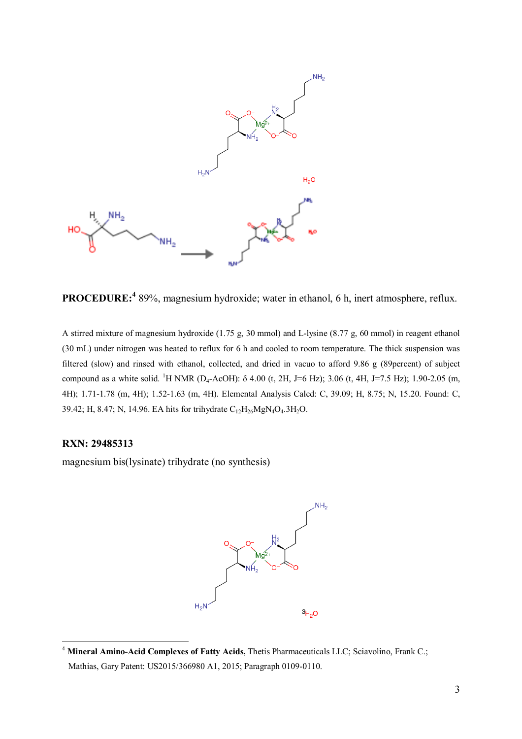

**PROCEDURE:<sup>4</sup>** 89%, magnesium hydroxide; water in ethanol, 6 h, inert atmosphere, reflux.

A stirred mixture of magnesium hydroxide (1.75 g, 30 mmol) and L-lysine (8.77 g, 60 mmol) in reagent ethanol (30 mL) under nitrogen was heated to reflux for 6 h and cooled to room temperature. The thick suspension was filtered (slow) and rinsed with ethanol, collected, and dried in vacuo to afford 9.86 g (89percent) of subject compound as a white solid. <sup>1</sup>H NMR (D<sub>4</sub>-AcOH): δ 4.00 (t, 2H, J=6 Hz); 3.06 (t, 4H, J=7.5 Hz); 1.90-2.05 (m, 4H); 1.71-1.78 (m, 4H); 1.52-1.63 (m, 4H). Elemental Analysis Calcd: C, 39.09; H, 8.75; N, 15.20. Found: C, 39.42; H, 8.47; N, 14.96. EA hits for trihydrate  $C_{12}H_{26}MgN_4O_4.3H_2O$ .

#### **RXN: 29485313**

 $\overline{a}$ 

magnesium bis(lysinate) trihydrate (no synthesis)



<sup>4</sup> **Mineral Amino-Acid Complexes of Fatty Acids,** Thetis Pharmaceuticals LLC; Sciavolino, Frank C.; Mathias, Gary Patent: US2015/366980 A1, 2015; Paragraph 0109-0110.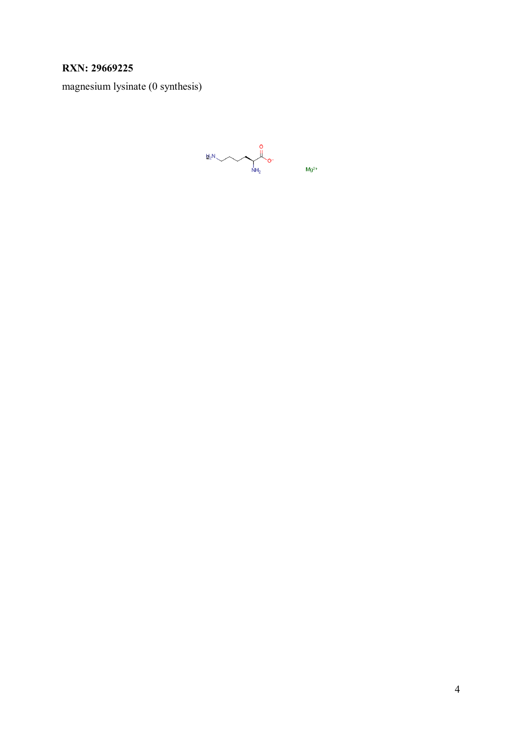## **RXN: 29669225**

magnesium lysinate (0 synthesis)

 $\mathbf{B}_{2}N$  o-<br> $\mathbf{Mg}^{2+}$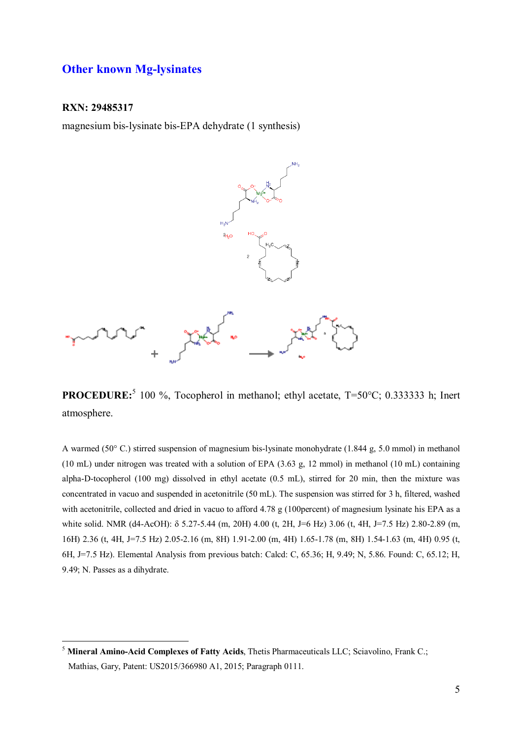### **Other known Mg-lysinates**

#### **RXN: 29485317**

magnesium bis-lysinate bis-EPA dehydrate (1 synthesis)



**PROCEDURE:**<sup>5</sup> 100 %, Tocopherol in methanol; ethyl acetate, T=50°C; 0.333333 h; Inert atmosphere.

A warmed (50° C.) stirred suspension of magnesium bis-lysinate monohydrate (1.844 g, 5.0 mmol) in methanol (10 mL) under nitrogen was treated with a solution of EPA (3.63 g, 12 mmol) in methanol (10 mL) containing alpha-D-tocopherol (100 mg) dissolved in ethyl acetate (0.5 mL), stirred for 20 min, then the mixture was concentrated in vacuo and suspended in acetonitrile (50 mL). The suspension was stirred for 3 h, filtered, washed with acetonitrile, collected and dried in vacuo to afford 4.78 g (100percent) of magnesium lysinate his EPA as a white solid. NMR (d4-AcOH): δ 5.27-5.44 (m, 20H) 4.00 (t, 2H, J=6 Hz) 3.06 (t, 4H, J=7.5 Hz) 2.80-2.89 (m, 16H) 2.36 (t, 4H, J=7.5 Hz) 2.05-2.16 (m, 8H) 1.91-2.00 (m, 4H) 1.65-1.78 (m, 8H) 1.54-1.63 (m, 4H) 0.95 (t, 6H, J=7.5 Hz). Elemental Analysis from previous batch: Calcd: C, 65.36; H, 9.49; N, 5.86. Found: C, 65.12; H, 9.49; N. Passes as a dihydrate.

 $\overline{a}$ <sup>5</sup> **Mineral Amino-Acid Complexes of Fatty Acids**, Thetis Pharmaceuticals LLC; Sciavolino, Frank C.; Mathias, Gary, Patent: US2015/366980 A1, 2015; Paragraph 0111.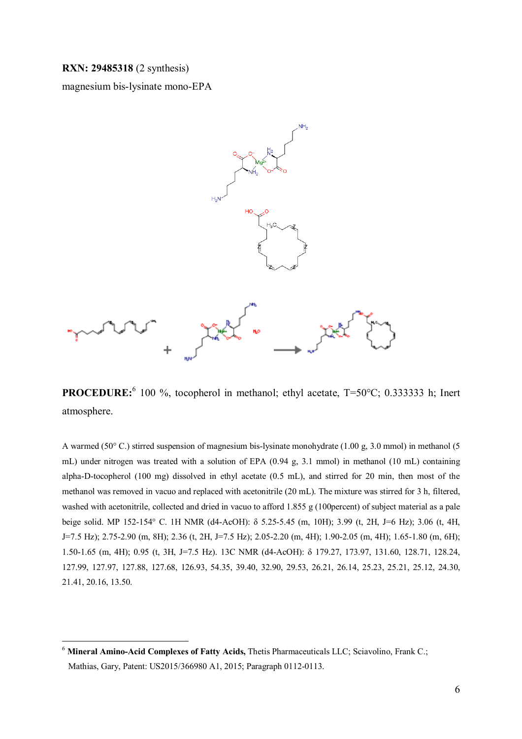**RXN: 29485318** (2 synthesis)

 $\overline{a}$ 

magnesium bis-lysinate mono-EPA



**PROCEDURE:**<sup>6</sup> 100 %, tocopherol in methanol; ethyl acetate, T=50°C; 0.333333 h; Inert atmosphere.

A warmed (50° C.) stirred suspension of magnesium bis-lysinate monohydrate (1.00 g, 3.0 mmol) in methanol (5 mL) under nitrogen was treated with a solution of EPA (0.94 g, 3.1 mmol) in methanol (10 mL) containing alpha-D-tocopherol (100 mg) dissolved in ethyl acetate (0.5 mL), and stirred for 20 min, then most of the methanol was removed in vacuo and replaced with acetonitrile (20 mL). The mixture was stirred for 3 h, filtered, washed with acetonitrile, collected and dried in vacuo to afford 1.855 g (100 percent) of subject material as a pale beige solid. MP 152-154° C. 1H NMR (d4-AcOH): δ 5.25-5.45 (m, 10H); 3.99 (t, 2H, J=6 Hz); 3.06 (t, 4H, J=7.5 Hz); 2.75-2.90 (m, 8H); 2.36 (t, 2H, J=7.5 Hz); 2.05-2.20 (m, 4H); 1.90-2.05 (m, 4H); 1.65-1.80 (m, 6H); 1.50-1.65 (m, 4H); 0.95 (t, 3H, J=7.5 Hz). 13C NMR (d4-AcOH): δ 179.27, 173.97, 131.60, 128.71, 128.24, 127.99, 127.97, 127.88, 127.68, 126.93, 54.35, 39.40, 32.90, 29.53, 26.21, 26.14, 25.23, 25.21, 25.12, 24.30, 21.41, 20.16, 13.50.

<sup>&</sup>lt;sup>6</sup> Mineral Amino-Acid Complexes of Fatty Acids, Thetis Pharmaceuticals LLC; Sciavolino, Frank C.; Mathias, Gary, Patent: US2015/366980 A1, 2015; Paragraph 0112-0113.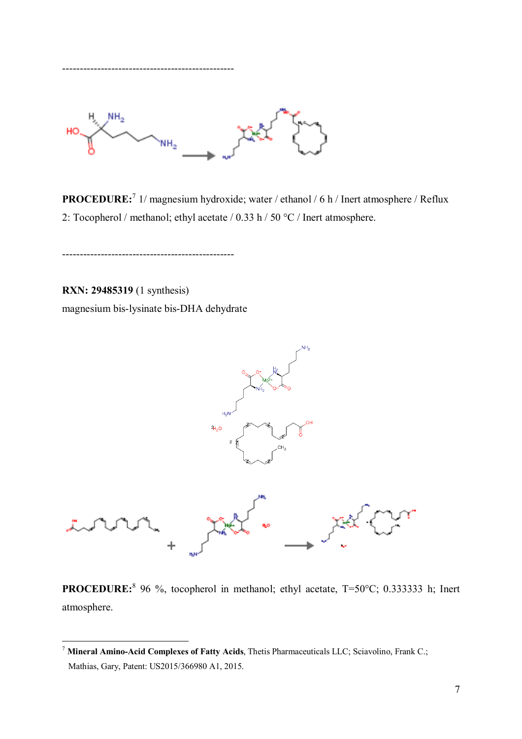

**PROCEDURE:**<sup>7</sup> 1/ magnesium hydroxide; water / ethanol / 6 h / Inert atmosphere / Reflux 2: Tocopherol / methanol; ethyl acetate / 0.33 h / 50 °C / Inert atmosphere.

**RXN: 29485319** (1 synthesis) magnesium bis-lysinate bis-DHA dehydrate

-------------------------------------------------

-------------------------------------------------



**PROCEDURE:**<sup>8</sup> 96 %, tocopherol in methanol; ethyl acetate, T=50°C; 0.333333 h; Inert atmosphere.

 $\overline{a}$ <sup>7</sup> **Mineral Amino-Acid Complexes of Fatty Acids**, Thetis Pharmaceuticals LLC; Sciavolino, Frank C.; Mathias, Gary, Patent: US2015/366980 A1, 2015.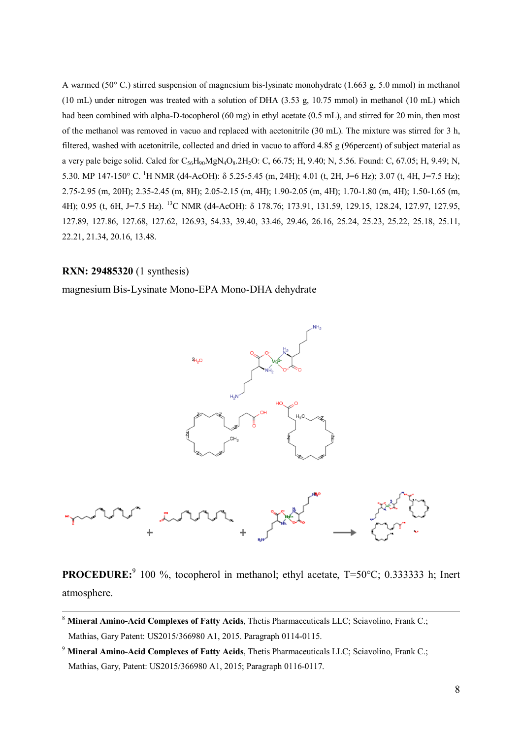A warmed (50° C.) stirred suspension of magnesium bis-lysinate monohydrate (1.663 g, 5.0 mmol) in methanol (10 mL) under nitrogen was treated with a solution of DHA (3.53 g, 10.75 mmol) in methanol (10 mL) which had been combined with alpha-D-tocopherol (60 mg) in ethyl acetate (0.5 mL), and stirred for 20 min, then most of the methanol was removed in vacuo and replaced with acetonitrile (30 mL). The mixture was stirred for 3 h, filtered, washed with acetonitrile, collected and dried in vacuo to afford 4.85 g (96percent) of subject material as a very pale beige solid. Calcd for  $C_{56}H_{90}MgN_4O_8.2H_2O$ : C, 66.75; H, 9.40; N, 5.56. Found: C, 67.05; H, 9.49; N, 5.30. MP 147-150° C. <sup>1</sup>H NMR (d4-AcOH): δ 5.25-5.45 (m, 24H); 4.01 (t, 2H, J=6 Hz); 3.07 (t, 4H, J=7.5 Hz); 2.75-2.95 (m, 20H); 2.35-2.45 (m, 8H); 2.05-2.15 (m, 4H); 1.90-2.05 (m, 4H); 1.70-1.80 (m, 4H); 1.50-1.65 (m, 4H); 0.95 (t, 6H, J=7.5 Hz). <sup>13</sup>C NMR (d4-AcOH): δ 178.76; 173.91, 131.59, 129.15, 128.24, 127.97, 127.95, 127.89, 127.86, 127.68, 127.62, 126.93, 54.33, 39.40, 33.46, 29.46, 26.16, 25.24, 25.23, 25.22, 25.18, 25.11, 22.21, 21.34, 20.16, 13.48.

#### **RXN: 29485320** (1 synthesis)

-

magnesium Bis-Lysinate Mono-EPA Mono-DHA dehydrate



**PROCEDURE:**<sup>9</sup> 100 %, tocopherol in methanol; ethyl acetate, T=50°C; 0.333333 h; Inert atmosphere.

<sup>8</sup> **Mineral Amino-Acid Complexes of Fatty Acids**, Thetis Pharmaceuticals LLC; Sciavolino, Frank C.; Mathias, Gary Patent: US2015/366980 A1, 2015. Paragraph 0114-0115.

<sup>9</sup> **Mineral Amino-Acid Complexes of Fatty Acids**, Thetis Pharmaceuticals LLC; Sciavolino, Frank C.; Mathias, Gary, Patent: US2015/366980 A1, 2015; Paragraph 0116-0117.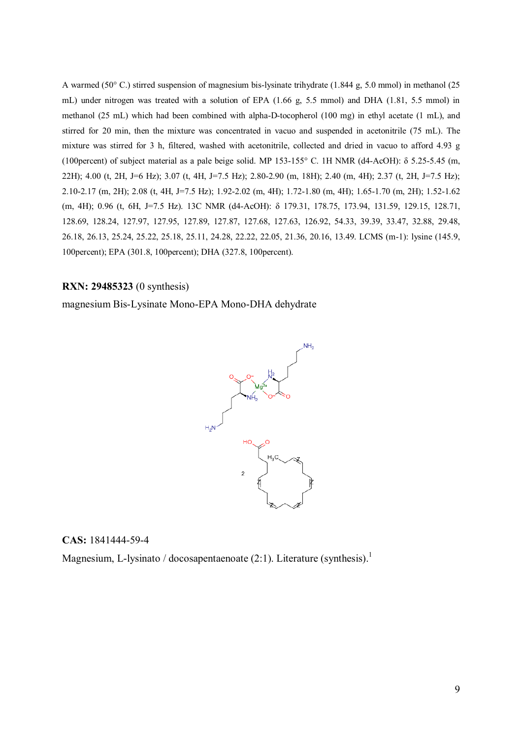A warmed (50° C.) stirred suspension of magnesium bis-lysinate trihydrate (1.844 g, 5.0 mmol) in methanol (25 mL) under nitrogen was treated with a solution of EPA (1.66 g, 5.5 mmol) and DHA (1.81, 5.5 mmol) in methanol (25 mL) which had been combined with alpha-D-tocopherol (100 mg) in ethyl acetate (1 mL), and stirred for 20 min, then the mixture was concentrated in vacuo and suspended in acetonitrile (75 mL). The mixture was stirred for 3 h, filtered, washed with acetonitrile, collected and dried in vacuo to afford 4.93 g (100percent) of subject material as a pale beige solid. MP 153-155° C. 1H NMR (d4-AcOH): δ 5.25-5.45 (m, 22H); 4.00 (t, 2H, J=6 Hz); 3.07 (t, 4H, J=7.5 Hz); 2.80-2.90 (m, 18H); 2.40 (m, 4H); 2.37 (t, 2H, J=7.5 Hz); 2.10-2.17 (m, 2H); 2.08 (t, 4H, J=7.5 Hz); 1.92-2.02 (m, 4H); 1.72-1.80 (m, 4H); 1.65-1.70 (m, 2H); 1.52-1.62 (m, 4H); 0.96 (t, 6H, J=7.5 Hz). 13C NMR (d4-AcOH): δ 179.31, 178.75, 173.94, 131.59, 129.15, 128.71, 128.69, 128.24, 127.97, 127.95, 127.89, 127.87, 127.68, 127.63, 126.92, 54.33, 39.39, 33.47, 32.88, 29.48, 26.18, 26.13, 25.24, 25.22, 25.18, 25.11, 24.28, 22.22, 22.05, 21.36, 20.16, 13.49. LCMS (m-1): lysine (145.9, 100percent); EPA (301.8, 100percent); DHA (327.8, 100percent).

### **RXN: 29485323** (0 synthesis)

magnesium Bis-Lysinate Mono-EPA Mono-DHA dehydrate



#### **CAS:** 1841444-59-4

Magnesium, L-lysinato / docosapentaenoate  $(2:1)$ . Literature (synthesis).<sup>1</sup>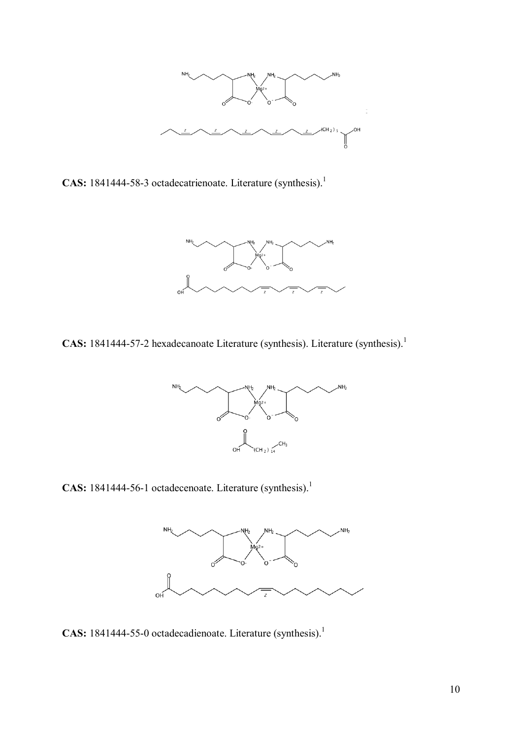

CAS: 1841444-58-3 octadecatrienoate. Literature (synthesis).<sup>1</sup>



**CAS:** 1841444-57-2 hexadecanoate Literature (synthesis). Literature (synthesis).<sup>1</sup>



CAS: 1841444-56-1 octadecenoate. Literature (synthesis).<sup>1</sup>



**CAS:** 1841444-55-0 octadecadienoate. Literature (synthesis).<sup>1</sup>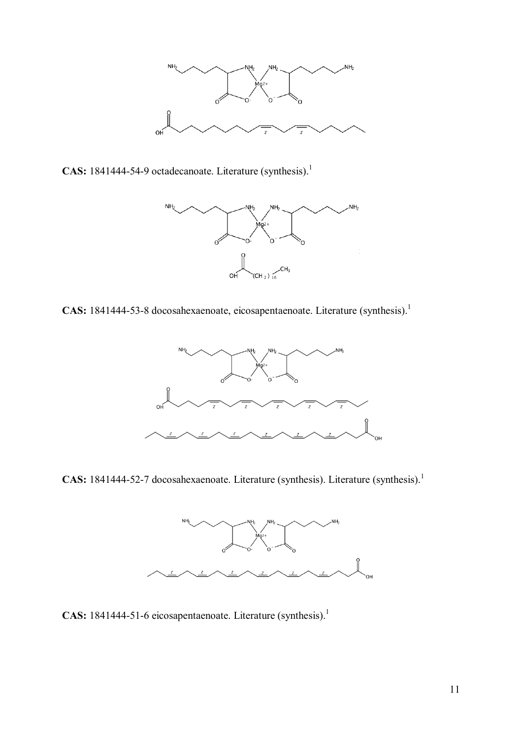

CAS: 1841444-54-9 octadecanoate. Literature (synthesis).<sup>1</sup>



CAS: 1841444-53-8 docosahexaenoate, eicosapentaenoate. Literature (synthesis).<sup>1</sup>



**CAS:** 1841444-52-7 docosahexaenoate. Literature (synthesis). Literature (synthesis).<sup>1</sup>



CAS: 1841444-51-6 eicosapentaenoate. Literature (synthesis).<sup>1</sup>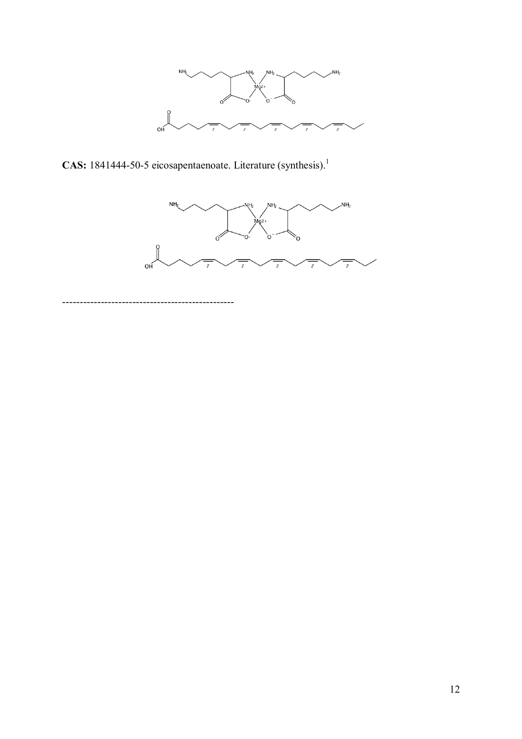

**CAS:** 1841444-50-5 eicosapentaenoate. Literature (synthesis).<sup>1</sup>



-------------------------------------------------